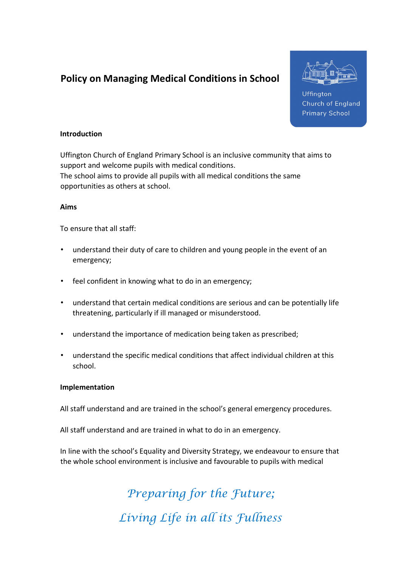# Policy on Managing Medical Conditions in School



Uffington **Church of England Primary School** 

#### Introduction

Uffington Church of England Primary School is an inclusive community that aims to support and welcome pupils with medical conditions. The school aims to provide all pupils with all medical conditions the same opportunities as others at school.

#### Aims

To ensure that all staff:

- understand their duty of care to children and young people in the event of an emergency;
- feel confident in knowing what to do in an emergency;
- understand that certain medical conditions are serious and can be potentially life threatening, particularly if ill managed or misunderstood.
- understand the importance of medication being taken as prescribed;
- understand the specific medical conditions that affect individual children at this school.

# Implementation

All staff understand and are trained in the school's general emergency procedures.

All staff understand and are trained in what to do in an emergency.

In line with the school's Equality and Diversity Strategy, we endeavour to ensure that the whole school environment is inclusive and favourable to pupils with medical

> Preparing for the Future; Living Life in all its Fullness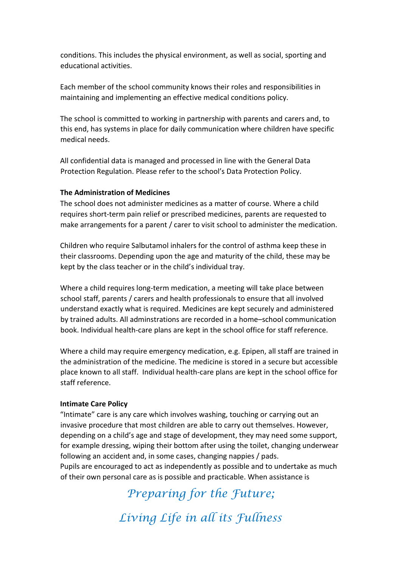conditions. This includes the physical environment, as well as social, sporting and educational activities.

Each member of the school community knows their roles and responsibilities in maintaining and implementing an effective medical conditions policy.

The school is committed to working in partnership with parents and carers and, to this end, has systems in place for daily communication where children have specific medical needs.

All confidential data is managed and processed in line with the General Data Protection Regulation. Please refer to the school's Data Protection Policy.

## The Administration of Medicines

The school does not administer medicines as a matter of course. Where a child requires short-term pain relief or prescribed medicines, parents are requested to make arrangements for a parent / carer to visit school to administer the medication.

Children who require Salbutamol inhalers for the control of asthma keep these in their classrooms. Depending upon the age and maturity of the child, these may be kept by the class teacher or in the child's individual tray.

Where a child requires long-term medication, a meeting will take place between school staff, parents / carers and health professionals to ensure that all involved understand exactly what is required. Medicines are kept securely and administered by trained adults. All adminstrations are recorded in a home–school communication book. Individual health-care plans are kept in the school office for staff reference.

Where a child may require emergency medication, e.g. Epipen, all staff are trained in the administration of the medicine. The medicine is stored in a secure but accessible place known to all staff. Individual health-care plans are kept in the school office for staff reference.

#### Intimate Care Policy

"Intimate" care is any care which involves washing, touching or carrying out an invasive procedure that most children are able to carry out themselves. However, depending on a child's age and stage of development, they may need some support, for example dressing, wiping their bottom after using the toilet, changing underwear following an accident and, in some cases, changing nappies / pads. Pupils are encouraged to act as independently as possible and to undertake as much of their own personal care as is possible and practicable. When assistance is

> Preparing for the Future; Living Life in all its Fullness